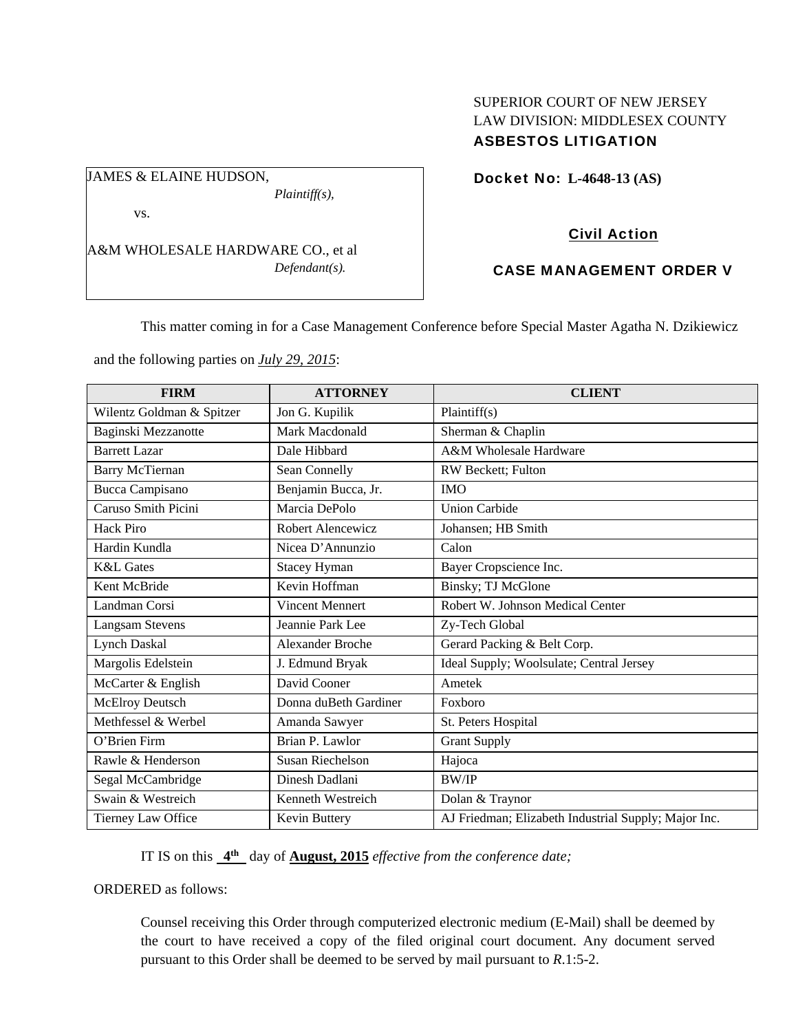# SUPERIOR COURT OF NEW JERSEY LAW DIVISION: MIDDLESEX COUNTY ASBESTOS LITIGATION

Docket No: **L-4648-13 (AS)** 

vs.

JAMES & ELAINE HUDSON,

A&M WHOLESALE HARDWARE CO., et al *Defendant(s).* 

*Plaintiff(s),* 

# Civil Action

# CASE MANAGEMENT ORDER V

This matter coming in for a Case Management Conference before Special Master Agatha N. Dzikiewicz

and the following parties on *July 29, 2015*:

| <b>FIRM</b>               | <b>ATTORNEY</b>         | <b>CLIENT</b>                                        |
|---------------------------|-------------------------|------------------------------------------------------|
| Wilentz Goldman & Spitzer | Jon G. Kupilik          | Plaintiff(s)                                         |
| Baginski Mezzanotte       | Mark Macdonald          | Sherman & Chaplin                                    |
| <b>Barrett Lazar</b>      | Dale Hibbard            | A&M Wholesale Hardware                               |
| Barry McTiernan           | Sean Connelly           | RW Beckett; Fulton                                   |
| <b>Bucca Campisano</b>    | Benjamin Bucca, Jr.     | <b>IMO</b>                                           |
| Caruso Smith Picini       | Marcia DePolo           | <b>Union Carbide</b>                                 |
| Hack Piro                 | Robert Alencewicz       | Johansen; HB Smith                                   |
| Hardin Kundla             | Nicea D'Annunzio        | Calon                                                |
| <b>K&amp;L</b> Gates      | <b>Stacey Hyman</b>     | Bayer Cropscience Inc.                               |
| Kent McBride              | Kevin Hoffman           | <b>Binsky; TJ McGlone</b>                            |
| Landman Corsi             | <b>Vincent Mennert</b>  | Robert W. Johnson Medical Center                     |
| <b>Langsam Stevens</b>    | Jeannie Park Lee        | Zy-Tech Global                                       |
| <b>Lynch Daskal</b>       | <b>Alexander Broche</b> | Gerard Packing & Belt Corp.                          |
| Margolis Edelstein        | J. Edmund Bryak         | Ideal Supply; Woolsulate; Central Jersey             |
| McCarter & English        | David Cooner            | Ametek                                               |
| McElroy Deutsch           | Donna duBeth Gardiner   | Foxboro                                              |
| Methfessel & Werbel       | Amanda Sawyer           | St. Peters Hospital                                  |
| O'Brien Firm              | Brian P. Lawlor         | <b>Grant Supply</b>                                  |
| Rawle & Henderson         | <b>Susan Riechelson</b> | Hajoca                                               |
| Segal McCambridge         | Dinesh Dadlani          | <b>BW/IP</b>                                         |
| Swain & Westreich         | Kenneth Westreich       | Dolan & Traynor                                      |
| Tierney Law Office        | Kevin Buttery           | AJ Friedman; Elizabeth Industrial Supply; Major Inc. |

IT IS on this **4th** day of **August, 2015** *effective from the conference date;*

ORDERED as follows:

Counsel receiving this Order through computerized electronic medium (E-Mail) shall be deemed by the court to have received a copy of the filed original court document. Any document served pursuant to this Order shall be deemed to be served by mail pursuant to *R*.1:5-2.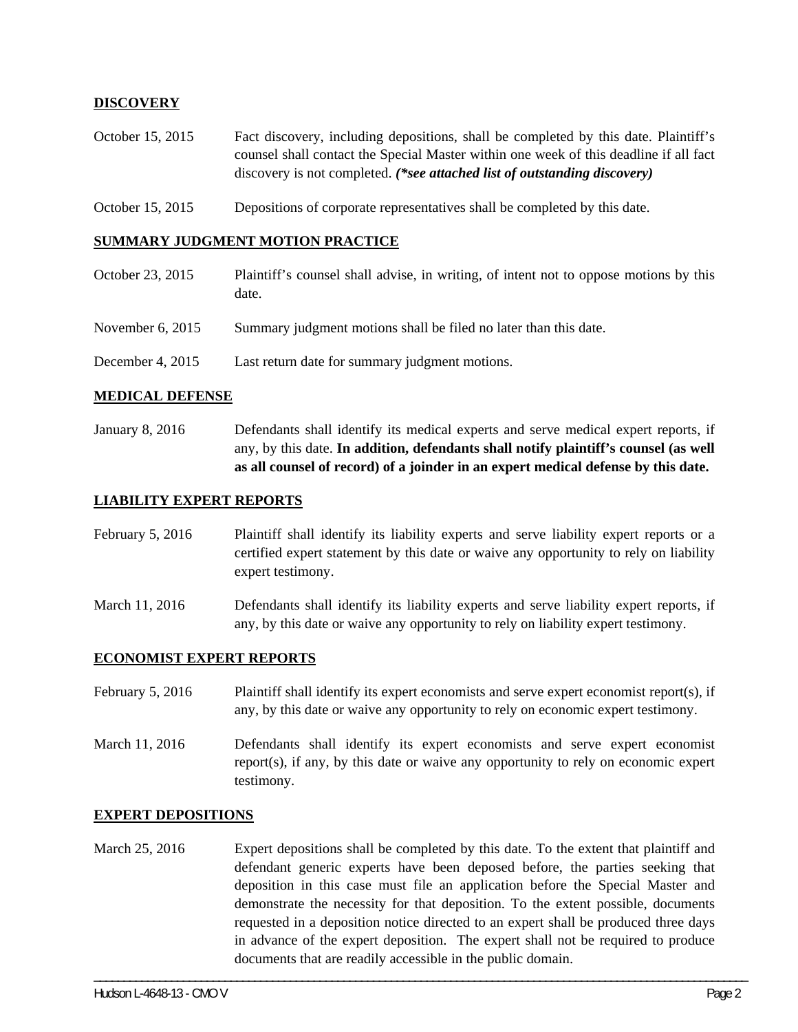## **DISCOVERY**

- October 15, 2015 Fact discovery, including depositions, shall be completed by this date. Plaintiff's counsel shall contact the Special Master within one week of this deadline if all fact discovery is not completed. *(\*see attached list of outstanding discovery)*
- October 15, 2015 Depositions of corporate representatives shall be completed by this date.

#### **SUMMARY JUDGMENT MOTION PRACTICE**

- October 23, 2015 Plaintiff's counsel shall advise, in writing, of intent not to oppose motions by this date.
- November 6, 2015 Summary judgment motions shall be filed no later than this date.
- December 4, 2015 Last return date for summary judgment motions.

#### **MEDICAL DEFENSE**

January 8, 2016 Defendants shall identify its medical experts and serve medical expert reports, if any, by this date. **In addition, defendants shall notify plaintiff's counsel (as well as all counsel of record) of a joinder in an expert medical defense by this date.** 

#### **LIABILITY EXPERT REPORTS**

February 5, 2016 Plaintiff shall identify its liability experts and serve liability expert reports or a certified expert statement by this date or waive any opportunity to rely on liability expert testimony.

March 11, 2016 Defendants shall identify its liability experts and serve liability expert reports, if any, by this date or waive any opportunity to rely on liability expert testimony.

#### **ECONOMIST EXPERT REPORTS**

February 5, 2016 Plaintiff shall identify its expert economists and serve expert economist report(s), if any, by this date or waive any opportunity to rely on economic expert testimony.

March 11, 2016 Defendants shall identify its expert economists and serve expert economist report(s), if any, by this date or waive any opportunity to rely on economic expert testimony.

#### **EXPERT DEPOSITIONS**

March 25, 2016 Expert depositions shall be completed by this date. To the extent that plaintiff and defendant generic experts have been deposed before, the parties seeking that deposition in this case must file an application before the Special Master and demonstrate the necessity for that deposition. To the extent possible, documents requested in a deposition notice directed to an expert shall be produced three days in advance of the expert deposition. The expert shall not be required to produce documents that are readily accessible in the public domain.

\_\_\_\_\_\_\_\_\_\_\_\_\_\_\_\_\_\_\_\_\_\_\_\_\_\_\_\_\_\_\_\_\_\_\_\_\_\_\_\_\_\_\_\_\_\_\_\_\_\_\_\_\_\_\_\_\_\_\_\_\_\_\_\_\_\_\_\_\_\_\_\_\_\_\_\_\_\_\_\_\_\_\_\_\_\_\_\_\_\_\_\_\_\_\_\_\_\_\_\_\_\_\_\_\_\_\_\_\_\_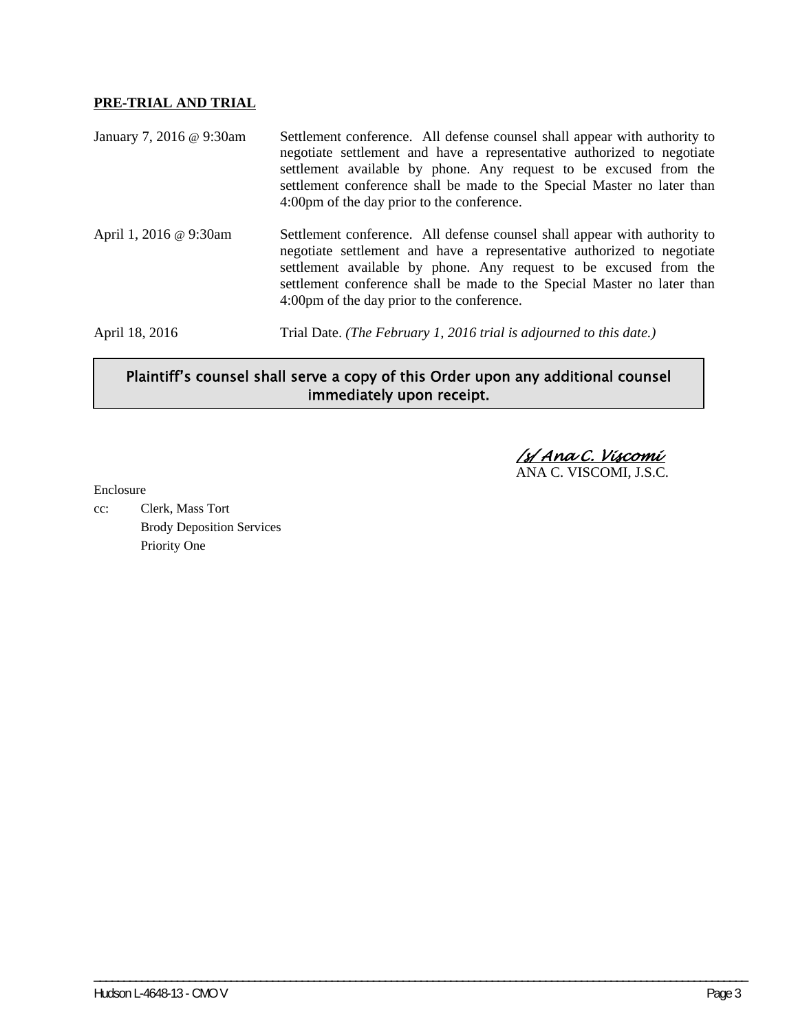## **PRE-TRIAL AND TRIAL**

| January 7, 2016 @ 9:30am | Settlement conference. All defense counsel shall appear with authority to<br>negotiate settlement and have a representative authorized to negotiate<br>settlement available by phone. Any request to be excused from the<br>settlement conference shall be made to the Special Master no later than<br>4:00pm of the day prior to the conference. |
|--------------------------|---------------------------------------------------------------------------------------------------------------------------------------------------------------------------------------------------------------------------------------------------------------------------------------------------------------------------------------------------|
| April 1, 2016 @ 9:30am   | Settlement conference. All defense counsel shall appear with authority to<br>negotiate settlement and have a representative authorized to negotiate<br>settlement available by phone. Any request to be excused from the<br>settlement conference shall be made to the Special Master no later than<br>4:00pm of the day prior to the conference. |
| April 18, 2016           | Trial Date. (The February 1, 2016 trial is adjourned to this date.)                                                                                                                                                                                                                                                                               |

# Plaintiff's counsel shall serve a copy of this Order upon any additional counsel immediately upon receipt.

\_\_\_\_\_\_\_\_\_\_\_\_\_\_\_\_\_\_\_\_\_\_\_\_\_\_\_\_\_\_\_\_\_\_\_\_\_\_\_\_\_\_\_\_\_\_\_\_\_\_\_\_\_\_\_\_\_\_\_\_\_\_\_\_\_\_\_\_\_\_\_\_\_\_\_\_\_\_\_\_\_\_\_\_\_\_\_\_\_\_\_\_\_\_\_\_\_\_\_\_\_\_\_\_\_\_\_\_\_\_

 */s/ Ana C. Viscomi*  ANA C. VISCOMI, J.S.C.

Enclosure

cc: Clerk, Mass Tort Brody Deposition Services Priority One